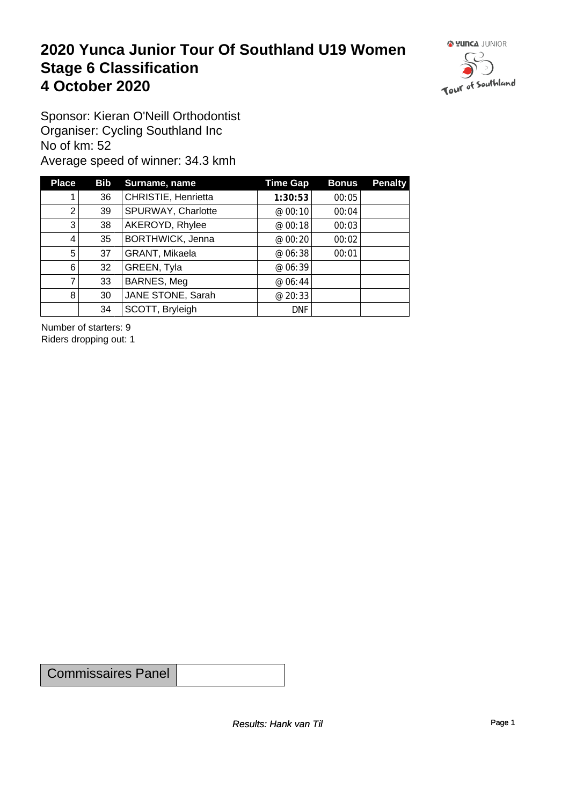#### **2020 Yunca Junior Tour Of Southland U19 Women** Stage 6 Classification<br>4 October 2020 **4 October 2020**



Sponsor: Kieran O'Neill Orthodontist Organiser: Cycling Southland Inc No of km: 52 Average speed of winner: 34.3 kmh

| <b>Place</b>   | Bib | Surname, name       | <b>Time Gap</b> | <b>Bonus</b> | <b>Penalty</b> |
|----------------|-----|---------------------|-----------------|--------------|----------------|
|                | 36  | CHRISTIE, Henrietta | 1:30:53         | 00:05        |                |
| 2              | 39  | SPURWAY, Charlotte  | @ 00:10         | 00:04        |                |
| 3              | 38  | AKEROYD, Rhylee     | @ 00:18         | 00:03        |                |
| 4              | 35  | BORTHWICK, Jenna    | @ 00:20         | 00:02        |                |
| 5 <sup>1</sup> | 37  | GRANT, Mikaela      | @ 06:38         | 00:01        |                |
| 6              | 32  | GREEN, Tyla         | @ 06:39         |              |                |
| 7              | 33  | BARNES, Meg         | @ 06:44         |              |                |
| 8              | 30  | JANE STONE, Sarah   | @ 20:33         |              |                |
|                | 34  | SCOTT, Bryleigh     | <b>DNF</b>      |              |                |

Number of starters: 9 Riders dropping out: 1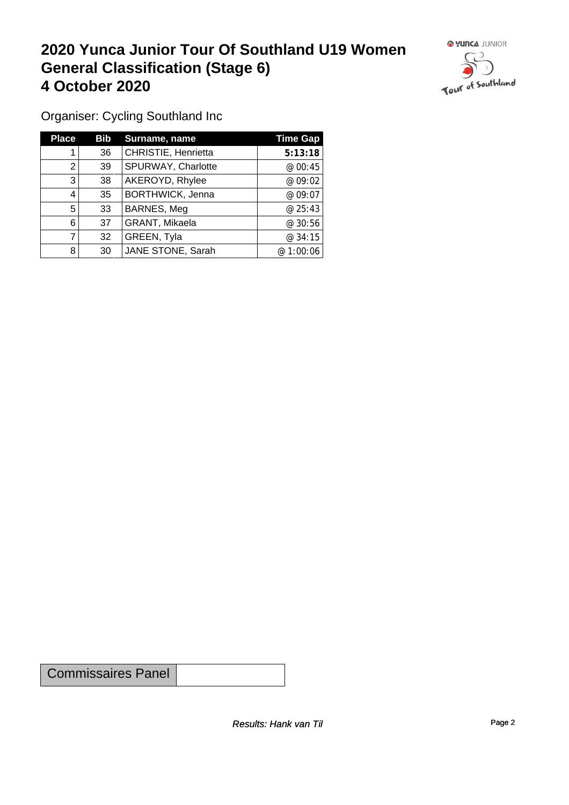#### **2020 Yunca Junior Tour Of Southland U19 Women General Classification (Stage 6)**<br>
4 October 2020 **4 October 2020**



Organiser: Cycling Southland Inc

| <b>Place</b> | <b>Bib</b> | Surname, name           | <b>Time Gap</b> |
|--------------|------------|-------------------------|-----------------|
|              | 36         | CHRISTIE, Henrietta     | 5:13:18         |
| 2            | 39         | SPURWAY, Charlotte      | @00:45          |
| 3            | 38         | AKEROYD, Rhylee         | @ 09:02         |
| 4            | 35         | <b>BORTHWICK, Jenna</b> | @ 09:07         |
| 5            | 33         | BARNES, Meg             | @25:43          |
| 6            | 37         | GRANT, Mikaela          | @30:56          |
|              | 32         | GREEN, Tyla             | @34:15          |
| 8            | 30         | JANE STONE, Sarah       | @ 1:00:06       |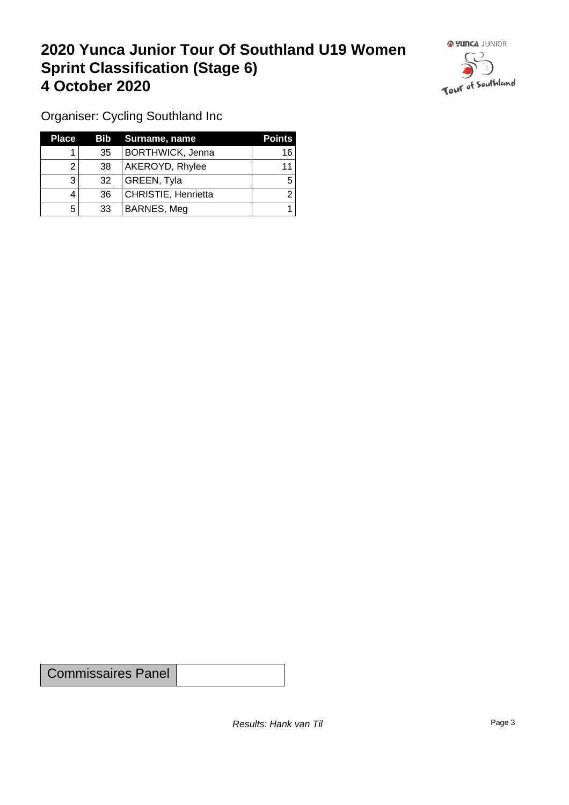## **2020 Yunca Junior Tour Of Southland U19 Women Sprint Classification (Stage 6) 4 October 2020**



Organiser: Cycling Southland Inc

| <b>Place</b> |                 | <b>Bib</b> Surname, name | <b>Points</b> |
|--------------|-----------------|--------------------------|---------------|
|              | 35 <sup>2</sup> | <b>BORTHWICK, Jenna</b>  | 16            |
|              | 38              | AKEROYD, Rhylee          | 11            |
| 3            | 32              | GREEN, Tyla              |               |
|              | 36              | CHRISTIE, Henrietta      |               |
| 5            | 33              | BARNES, Meg              |               |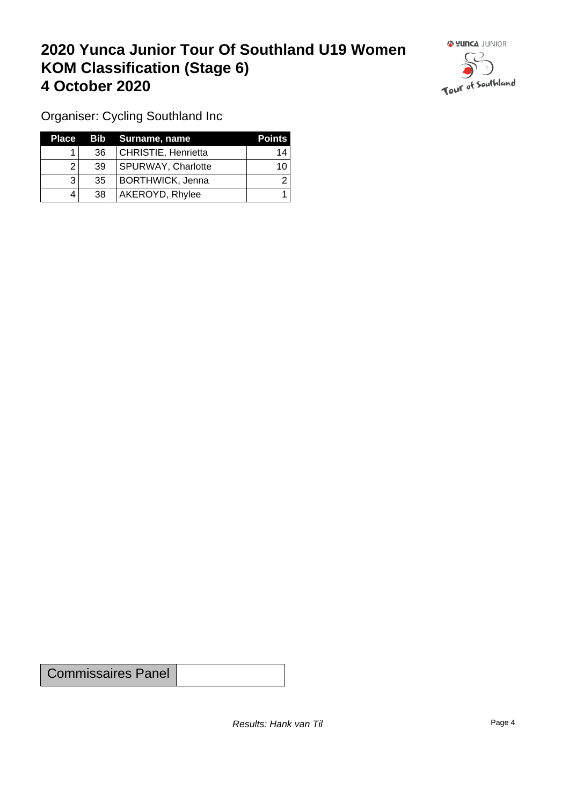## **2020 Yunca Junior Tour Of Southland U19 Women KOM Classification (Stage 6) 4 October 2020 19 To 2020 19 To 2020 19 To 2020**



Organiser: Cycling Southland Inc

| Place |                 | Bib Surname, name         | <b>Points</b> |
|-------|-----------------|---------------------------|---------------|
|       | 36              | CHRISTIE, Henrietta       | 14            |
|       | 39              | <b>SPURWAY, Charlotte</b> | 10            |
|       | 35 <sup>2</sup> | BORTHWICK, Jenna          |               |
|       | 38              | AKEROYD, Rhylee           |               |